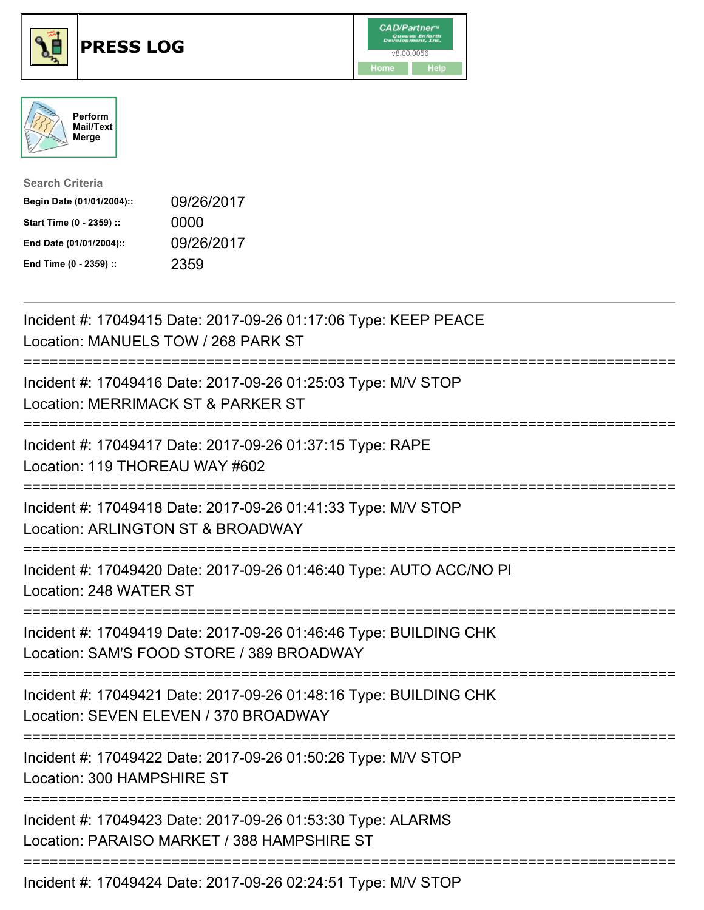





| <b>Search Criteria</b>    |            |
|---------------------------|------------|
| Begin Date (01/01/2004):: | 09/26/2017 |
| Start Time (0 - 2359) ::  | 0000       |
| End Date (01/01/2004)::   | 09/26/2017 |
| End Time (0 - 2359) ::    | 2359       |

| Incident #: 17049415 Date: 2017-09-26 01:17:06 Type: KEEP PEACE<br>Location: MANUELS TOW / 268 PARK ST                                          |
|-------------------------------------------------------------------------------------------------------------------------------------------------|
| Incident #: 17049416 Date: 2017-09-26 01:25:03 Type: M/V STOP<br>Location: MERRIMACK ST & PARKER ST                                             |
| Incident #: 17049417 Date: 2017-09-26 01:37:15 Type: RAPE<br>Location: 119 THOREAU WAY #602                                                     |
| Incident #: 17049418 Date: 2017-09-26 01:41:33 Type: M/V STOP<br>Location: ARLINGTON ST & BROADWAY                                              |
| Incident #: 17049420 Date: 2017-09-26 01:46:40 Type: AUTO ACC/NO PI<br>Location: 248 WATER ST                                                   |
| Incident #: 17049419 Date: 2017-09-26 01:46:46 Type: BUILDING CHK<br>Location: SAM'S FOOD STORE / 389 BROADWAY<br>============================= |
| Incident #: 17049421 Date: 2017-09-26 01:48:16 Type: BUILDING CHK<br>Location: SEVEN ELEVEN / 370 BROADWAY<br>:=============================    |
| Incident #: 17049422 Date: 2017-09-26 01:50:26 Type: M/V STOP<br>Location: 300 HAMPSHIRE ST                                                     |
| Incident #: 17049423 Date: 2017-09-26 01:53:30 Type: ALARMS<br>Location: PARAISO MARKET / 388 HAMPSHIRE ST                                      |
| Incident #: 17049424 Date: 2017-09-26 02:24:51 Type: M/V STOP                                                                                   |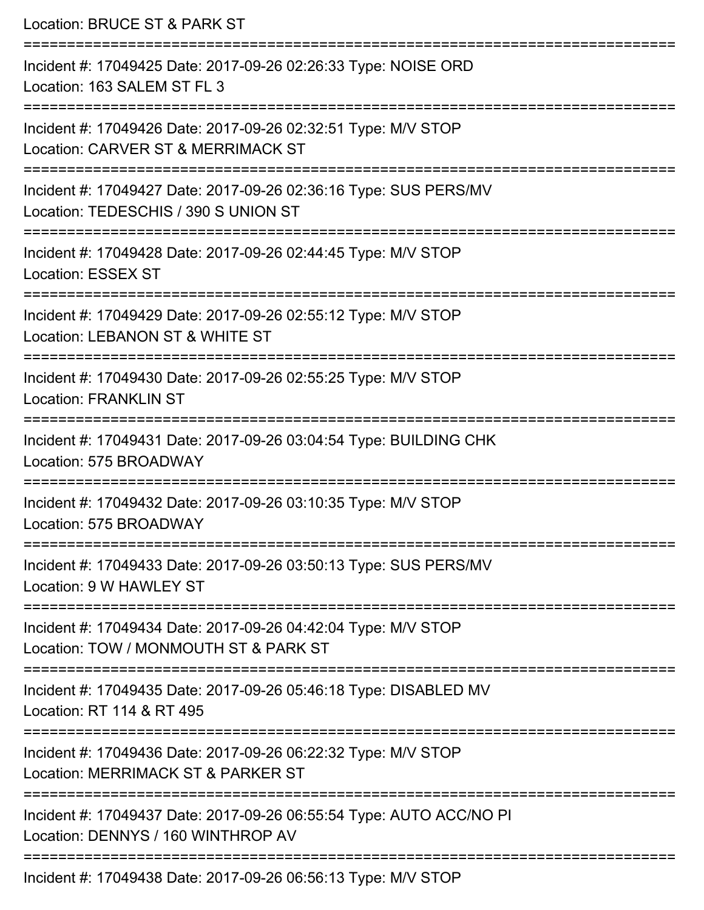| Location: BRUCE ST & PARK ST                                                                                    |
|-----------------------------------------------------------------------------------------------------------------|
| Incident #: 17049425 Date: 2017-09-26 02:26:33 Type: NOISE ORD<br>Location: 163 SALEM ST FL 3<br>============== |
| Incident #: 17049426 Date: 2017-09-26 02:32:51 Type: M/V STOP<br>Location: CARVER ST & MERRIMACK ST             |
| Incident #: 17049427 Date: 2017-09-26 02:36:16 Type: SUS PERS/MV<br>Location: TEDESCHIS / 390 S UNION ST        |
| Incident #: 17049428 Date: 2017-09-26 02:44:45 Type: M/V STOP<br><b>Location: ESSEX ST</b>                      |
| Incident #: 17049429 Date: 2017-09-26 02:55:12 Type: M/V STOP<br>Location: LEBANON ST & WHITE ST                |
| Incident #: 17049430 Date: 2017-09-26 02:55:25 Type: M/V STOP<br><b>Location: FRANKLIN ST</b>                   |
| Incident #: 17049431 Date: 2017-09-26 03:04:54 Type: BUILDING CHK<br>Location: 575 BROADWAY                     |
| Incident #: 17049432 Date: 2017-09-26 03:10:35 Type: M/V STOP<br>Location: 575 BROADWAY                         |
| Incident #: 17049433 Date: 2017-09-26 03:50:13 Type: SUS PERS/MV<br>Location: 9 W HAWLEY ST                     |
| Incident #: 17049434 Date: 2017-09-26 04:42:04 Type: M/V STOP<br>Location: TOW / MONMOUTH ST & PARK ST          |
| Incident #: 17049435 Date: 2017-09-26 05:46:18 Type: DISABLED MV<br>Location: RT 114 & RT 495                   |
| Incident #: 17049436 Date: 2017-09-26 06:22:32 Type: M/V STOP<br>Location: MERRIMACK ST & PARKER ST             |
| Incident #: 17049437 Date: 2017-09-26 06:55:54 Type: AUTO ACC/NO PI<br>Location: DENNYS / 160 WINTHROP AV       |
| Incident #: 17049438 Date: 2017-09-26 06:56:13 Type: M/V STOP                                                   |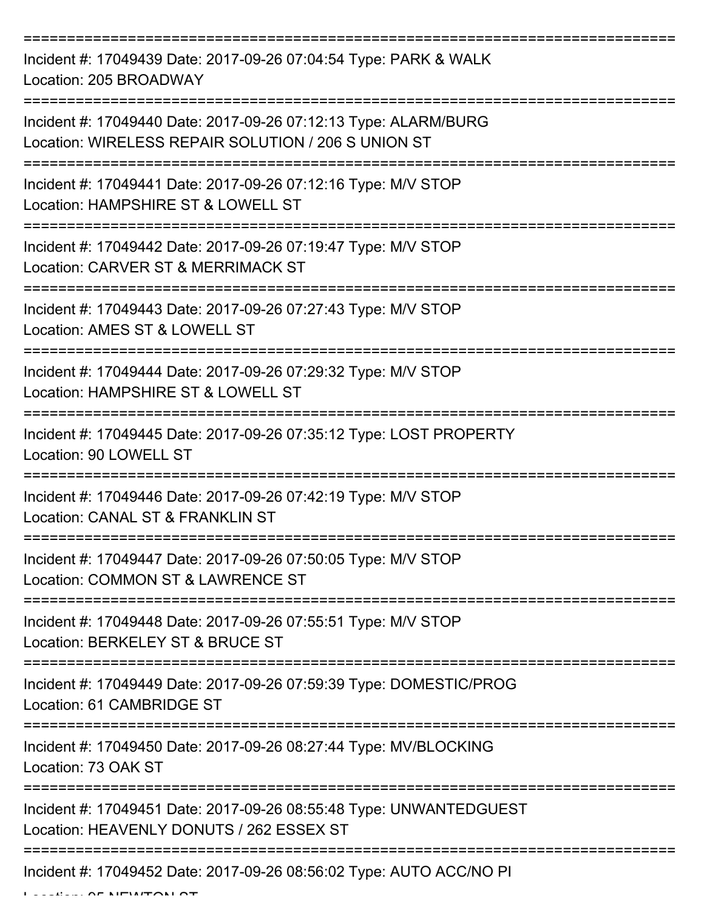=========================================================================== Incident #: 17049439 Date: 2017-09-26 07:04:54 Type: PARK & WALK Location: 205 BROADWAY =========================================================================== Incident #: 17049440 Date: 2017-09-26 07:12:13 Type: ALARM/BURG Location: WIRELESS REPAIR SOLUTION / 206 S UNION ST =========================================================================== Incident #: 17049441 Date: 2017-09-26 07:12:16 Type: M/V STOP Location: HAMPSHIRE ST & LOWELL ST =========================================================================== Incident #: 17049442 Date: 2017-09-26 07:19:47 Type: M/V STOP Location: CARVER ST & MERRIMACK ST =========================================================================== Incident #: 17049443 Date: 2017-09-26 07:27:43 Type: M/V STOP Location: AMES ST & LOWELL ST =========================================================================== Incident #: 17049444 Date: 2017-09-26 07:29:32 Type: M/V STOP Location: HAMPSHIRE ST & LOWELL ST =========================================================================== Incident #: 17049445 Date: 2017-09-26 07:35:12 Type: LOST PROPERTY Location: 90 LOWELL ST =========================================================================== Incident #: 17049446 Date: 2017-09-26 07:42:19 Type: M/V STOP Location: CANAL ST & FRANKLIN ST =========================================================================== Incident #: 17049447 Date: 2017-09-26 07:50:05 Type: M/V STOP Location: COMMON ST & LAWRENCE ST =========================================================================== Incident #: 17049448 Date: 2017-09-26 07:55:51 Type: M/V STOP Location: BERKELEY ST & BRUCE ST =========================================================================== Incident #: 17049449 Date: 2017-09-26 07:59:39 Type: DOMESTIC/PROG Location: 61 CAMBRIDGE ST =========================================================================== Incident #: 17049450 Date: 2017-09-26 08:27:44 Type: MV/BLOCKING Location: 73 OAK ST =========================================================================== Incident #: 17049451 Date: 2017-09-26 08:55:48 Type: UNWANTEDGUEST Location: HEAVENLY DONUTS / 262 ESSEX ST =========================================================================== Incident #: 17049452 Date: 2017-09-26 08:56:02 Type: AUTO ACC/NO PI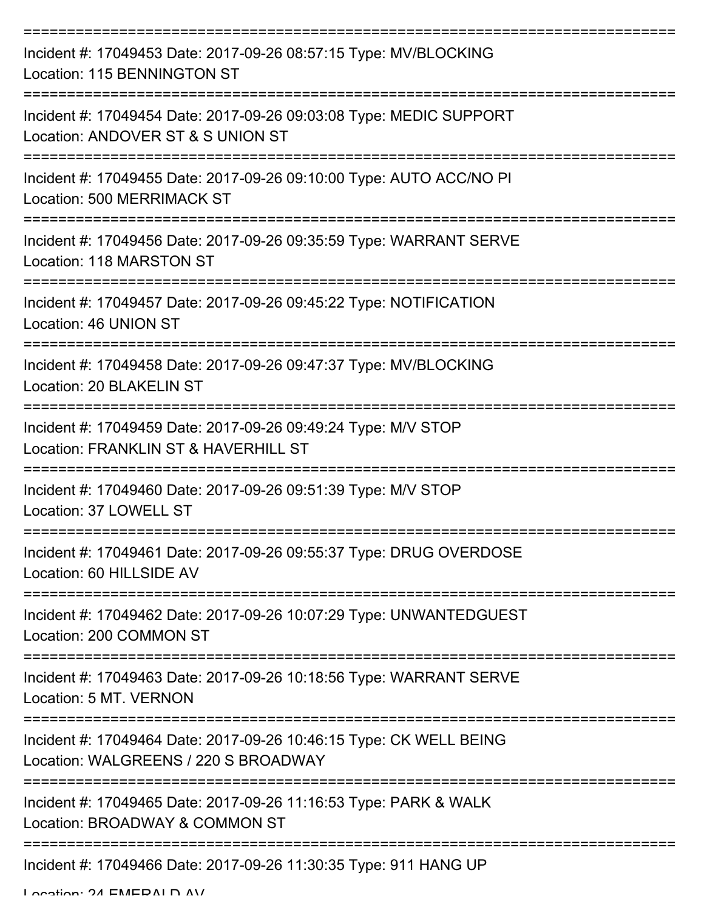| Incident #: 17049453 Date: 2017-09-26 08:57:15 Type: MV/BLOCKING<br>Location: 115 BENNINGTON ST                              |
|------------------------------------------------------------------------------------------------------------------------------|
| Incident #: 17049454 Date: 2017-09-26 09:03:08 Type: MEDIC SUPPORT<br>Location: ANDOVER ST & S UNION ST                      |
| Incident #: 17049455 Date: 2017-09-26 09:10:00 Type: AUTO ACC/NO PI<br><b>Location: 500 MERRIMACK ST</b>                     |
| Incident #: 17049456 Date: 2017-09-26 09:35:59 Type: WARRANT SERVE<br>Location: 118 MARSTON ST                               |
| Incident #: 17049457 Date: 2017-09-26 09:45:22 Type: NOTIFICATION<br>Location: 46 UNION ST<br>:============================= |
| Incident #: 17049458 Date: 2017-09-26 09:47:37 Type: MV/BLOCKING<br>Location: 20 BLAKELIN ST                                 |
| Incident #: 17049459 Date: 2017-09-26 09:49:24 Type: M/V STOP<br>Location: FRANKLIN ST & HAVERHILL ST                        |
| Incident #: 17049460 Date: 2017-09-26 09:51:39 Type: M/V STOP<br>Location: 37 LOWELL ST                                      |
| Incident #: 17049461 Date: 2017-09-26 09:55:37 Type: DRUG OVERDOSE<br>Location: 60 HILLSIDE AV                               |
| Incident #: 17049462 Date: 2017-09-26 10:07:29 Type: UNWANTEDGUEST<br>Location: 200 COMMON ST                                |
| Incident #: 17049463 Date: 2017-09-26 10:18:56 Type: WARRANT SERVE<br>Location: 5 MT. VERNON                                 |
| Incident #: 17049464 Date: 2017-09-26 10:46:15 Type: CK WELL BEING<br>Location: WALGREENS / 220 S BROADWAY                   |
| Incident #: 17049465 Date: 2017-09-26 11:16:53 Type: PARK & WALK<br>Location: BROADWAY & COMMON ST                           |
| Incident #: 17049466 Date: 2017-09-26 11:30:35 Type: 911 HANG UP                                                             |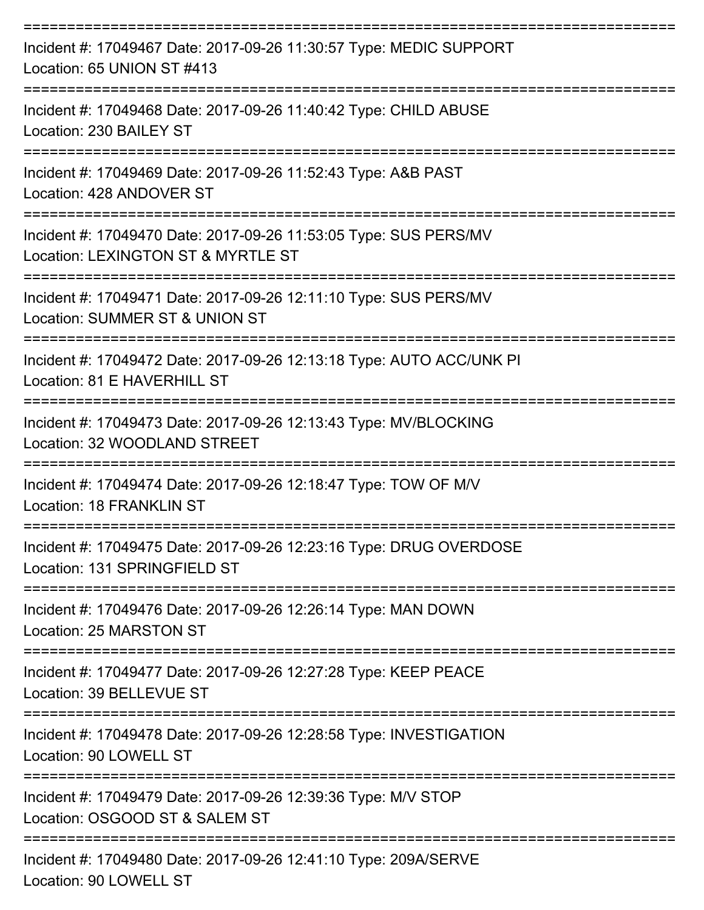| Incident #: 17049467 Date: 2017-09-26 11:30:57 Type: MEDIC SUPPORT<br>Location: 65 UNION ST #413<br>:===================              |
|---------------------------------------------------------------------------------------------------------------------------------------|
| Incident #: 17049468 Date: 2017-09-26 11:40:42 Type: CHILD ABUSE<br>Location: 230 BAILEY ST<br>--------------<br>-------------------- |
| Incident #: 17049469 Date: 2017-09-26 11:52:43 Type: A&B PAST<br>Location: 428 ANDOVER ST                                             |
| Incident #: 17049470 Date: 2017-09-26 11:53:05 Type: SUS PERS/MV<br>Location: LEXINGTON ST & MYRTLE ST                                |
| Incident #: 17049471 Date: 2017-09-26 12:11:10 Type: SUS PERS/MV<br>Location: SUMMER ST & UNION ST                                    |
| Incident #: 17049472 Date: 2017-09-26 12:13:18 Type: AUTO ACC/UNK PI<br>Location: 81 E HAVERHILL ST                                   |
| .---------------<br>Incident #: 17049473 Date: 2017-09-26 12:13:43 Type: MV/BLOCKING<br>Location: 32 WOODLAND STREET                  |
| Incident #: 17049474 Date: 2017-09-26 12:18:47 Type: TOW OF M/V<br><b>Location: 18 FRANKLIN ST</b>                                    |
| Incident #: 17049475 Date: 2017-09-26 12:23:16 Type: DRUG OVERDOSE<br>Location: 131 SPRINGFIELD ST                                    |
| Incident #: 17049476 Date: 2017-09-26 12:26:14 Type: MAN DOWN<br>Location: 25 MARSTON ST                                              |
| Incident #: 17049477 Date: 2017-09-26 12:27:28 Type: KEEP PEACE<br>Location: 39 BELLEVUE ST                                           |
| Incident #: 17049478 Date: 2017-09-26 12:28:58 Type: INVESTIGATION<br>Location: 90 LOWELL ST                                          |
| Incident #: 17049479 Date: 2017-09-26 12:39:36 Type: M/V STOP<br>Location: OSGOOD ST & SALEM ST                                       |
| Incident #: 17049480 Date: 2017-09-26 12:41:10 Type: 209A/SERVE<br>Location: 90 LOWELL ST                                             |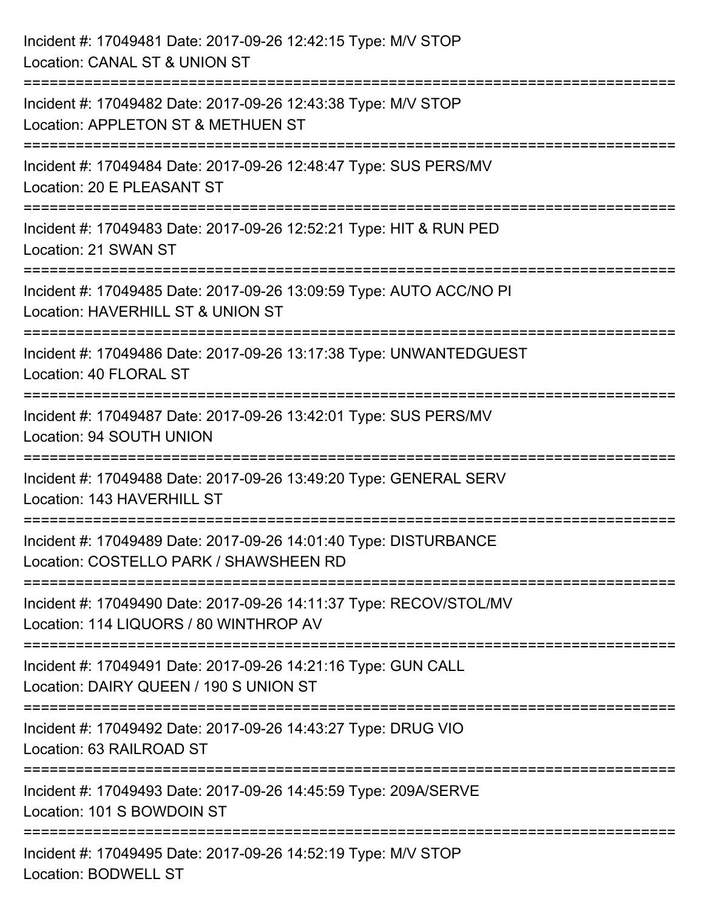| Incident #: 17049481 Date: 2017-09-26 12:42:15 Type: M/V STOP<br>Location: CANAL ST & UNION ST                                            |
|-------------------------------------------------------------------------------------------------------------------------------------------|
| :=================================<br>Incident #: 17049482 Date: 2017-09-26 12:43:38 Type: M/V STOP<br>Location: APPLETON ST & METHUEN ST |
| ===========================<br>Incident #: 17049484 Date: 2017-09-26 12:48:47 Type: SUS PERS/MV<br>Location: 20 E PLEASANT ST             |
| Incident #: 17049483 Date: 2017-09-26 12:52:21 Type: HIT & RUN PED<br>Location: 21 SWAN ST                                                |
| Incident #: 17049485 Date: 2017-09-26 13:09:59 Type: AUTO ACC/NO PI<br>Location: HAVERHILL ST & UNION ST                                  |
| Incident #: 17049486 Date: 2017-09-26 13:17:38 Type: UNWANTEDGUEST<br>Location: 40 FLORAL ST                                              |
| Incident #: 17049487 Date: 2017-09-26 13:42:01 Type: SUS PERS/MV<br>Location: 94 SOUTH UNION                                              |
| Incident #: 17049488 Date: 2017-09-26 13:49:20 Type: GENERAL SERV<br>Location: 143 HAVERHILL ST                                           |
| Incident #: 17049489 Date: 2017-09-26 14:01:40 Type: DISTURBANCE<br>Location: COSTELLO PARK / SHAWSHEEN RD                                |
| Incident #: 17049490 Date: 2017-09-26 14:11:37 Type: RECOV/STOL/MV<br>Location: 114 LIQUORS / 80 WINTHROP AV                              |
| Incident #: 17049491 Date: 2017-09-26 14:21:16 Type: GUN CALL<br>Location: DAIRY QUEEN / 190 S UNION ST                                   |
| Incident #: 17049492 Date: 2017-09-26 14:43:27 Type: DRUG VIO<br>Location: 63 RAILROAD ST                                                 |
| Incident #: 17049493 Date: 2017-09-26 14:45:59 Type: 209A/SERVE<br>Location: 101 S BOWDOIN ST                                             |
| Incident #: 17049495 Date: 2017-09-26 14:52:19 Type: M/V STOP<br>Location: BODWELL ST                                                     |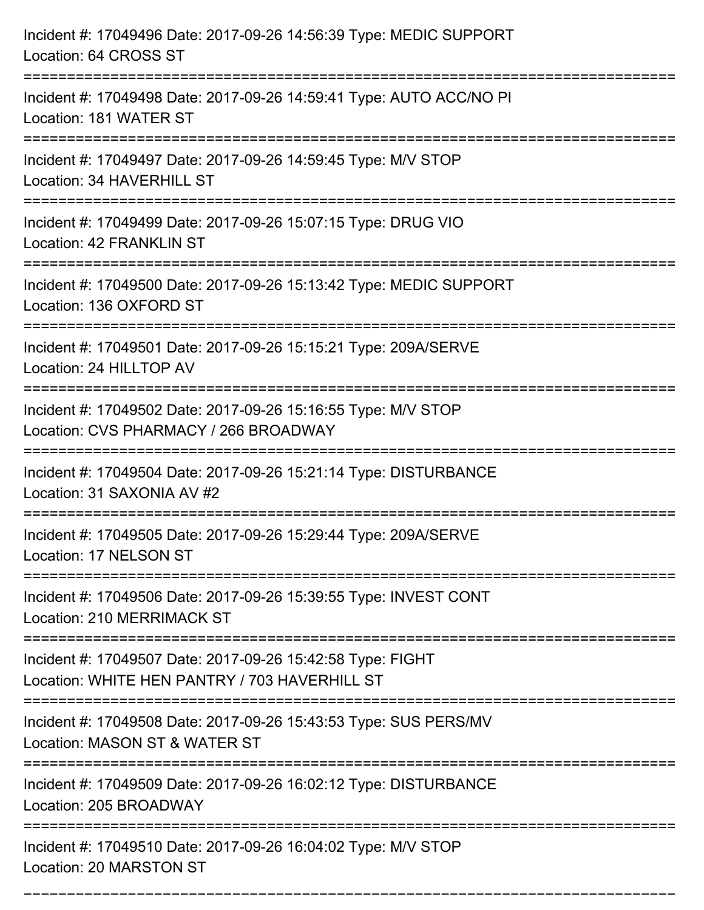| Incident #: 17049496 Date: 2017-09-26 14:56:39 Type: MEDIC SUPPORT<br>Location: 64 CROSS ST                             |
|-------------------------------------------------------------------------------------------------------------------------|
| Incident #: 17049498 Date: 2017-09-26 14:59:41 Type: AUTO ACC/NO PI<br>Location: 181 WATER ST                           |
| Incident #: 17049497 Date: 2017-09-26 14:59:45 Type: M/V STOP<br>Location: 34 HAVERHILL ST<br>========================= |
| Incident #: 17049499 Date: 2017-09-26 15:07:15 Type: DRUG VIO<br>Location: 42 FRANKLIN ST                               |
| Incident #: 17049500 Date: 2017-09-26 15:13:42 Type: MEDIC SUPPORT<br>Location: 136 OXFORD ST                           |
| Incident #: 17049501 Date: 2017-09-26 15:15:21 Type: 209A/SERVE<br>Location: 24 HILLTOP AV                              |
| Incident #: 17049502 Date: 2017-09-26 15:16:55 Type: M/V STOP<br>Location: CVS PHARMACY / 266 BROADWAY                  |
| Incident #: 17049504 Date: 2017-09-26 15:21:14 Type: DISTURBANCE<br>Location: 31 SAXONIA AV #2                          |
| Incident #: 17049505 Date: 2017-09-26 15:29:44 Type: 209A/SERVE<br>Location: 17 NELSON ST                               |
| Incident #: 17049506 Date: 2017-09-26 15:39:55 Type: INVEST CONT<br><b>Location: 210 MERRIMACK ST</b>                   |
| Incident #: 17049507 Date: 2017-09-26 15:42:58 Type: FIGHT<br>Location: WHITE HEN PANTRY / 703 HAVERHILL ST             |
| Incident #: 17049508 Date: 2017-09-26 15:43:53 Type: SUS PERS/MV<br>Location: MASON ST & WATER ST                       |
| Incident #: 17049509 Date: 2017-09-26 16:02:12 Type: DISTURBANCE<br>Location: 205 BROADWAY                              |
| Incident #: 17049510 Date: 2017-09-26 16:04:02 Type: M/V STOP<br>Location: 20 MARSTON ST                                |

===========================================================================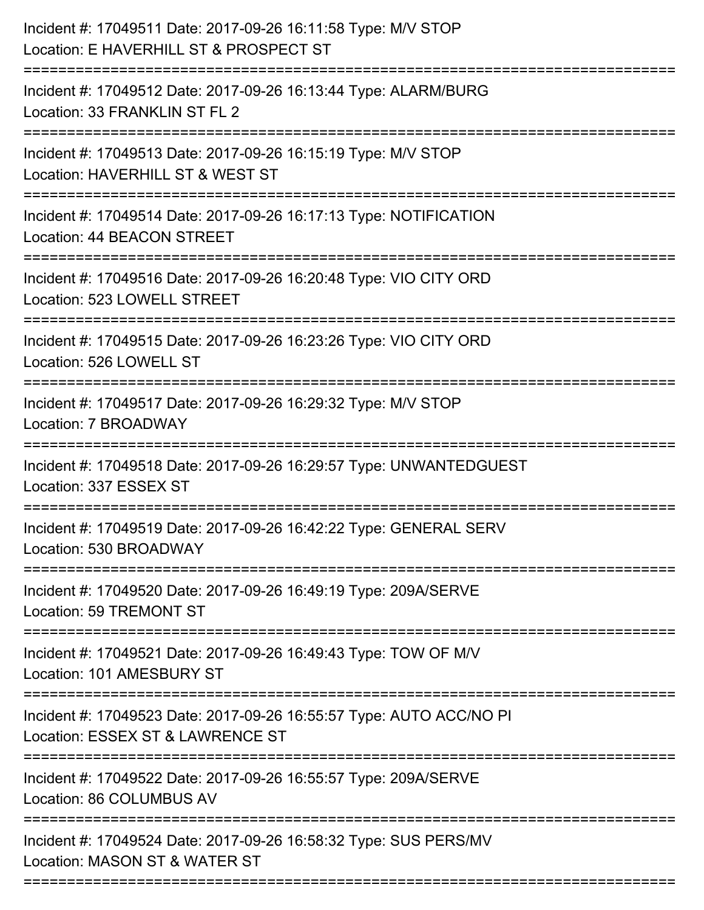| Incident #: 17049511 Date: 2017-09-26 16:11:58 Type: M/V STOP<br>Location: E HAVERHILL ST & PROSPECT ST                         |
|---------------------------------------------------------------------------------------------------------------------------------|
| Incident #: 17049512 Date: 2017-09-26 16:13:44 Type: ALARM/BURG<br>Location: 33 FRANKLIN ST FL 2                                |
| Incident #: 17049513 Date: 2017-09-26 16:15:19 Type: M/V STOP<br>Location: HAVERHILL ST & WEST ST                               |
| Incident #: 17049514 Date: 2017-09-26 16:17:13 Type: NOTIFICATION<br>Location: 44 BEACON STREET                                 |
| Incident #: 17049516 Date: 2017-09-26 16:20:48 Type: VIO CITY ORD<br>Location: 523 LOWELL STREET<br>--------------------------- |
| Incident #: 17049515 Date: 2017-09-26 16:23:26 Type: VIO CITY ORD<br>Location: 526 LOWELL ST                                    |
| Incident #: 17049517 Date: 2017-09-26 16:29:32 Type: M/V STOP<br>Location: 7 BROADWAY                                           |
| Incident #: 17049518 Date: 2017-09-26 16:29:57 Type: UNWANTEDGUEST<br>Location: 337 ESSEX ST                                    |
| Incident #: 17049519 Date: 2017-09-26 16:42:22 Type: GENERAL SERV<br>Location: 530 BROADWAY                                     |
| ======================<br>Incident #: 17049520 Date: 2017-09-26 16:49:19 Type: 209A/SERVE<br><b>Location: 59 TREMONT ST</b>     |
| Incident #: 17049521 Date: 2017-09-26 16:49:43 Type: TOW OF M/V<br>Location: 101 AMESBURY ST                                    |
| Incident #: 17049523 Date: 2017-09-26 16:55:57 Type: AUTO ACC/NO PI<br>Location: ESSEX ST & LAWRENCE ST                         |
| Incident #: 17049522 Date: 2017-09-26 16:55:57 Type: 209A/SERVE<br>Location: 86 COLUMBUS AV                                     |
| Incident #: 17049524 Date: 2017-09-26 16:58:32 Type: SUS PERS/MV<br>Location: MASON ST & WATER ST                               |
|                                                                                                                                 |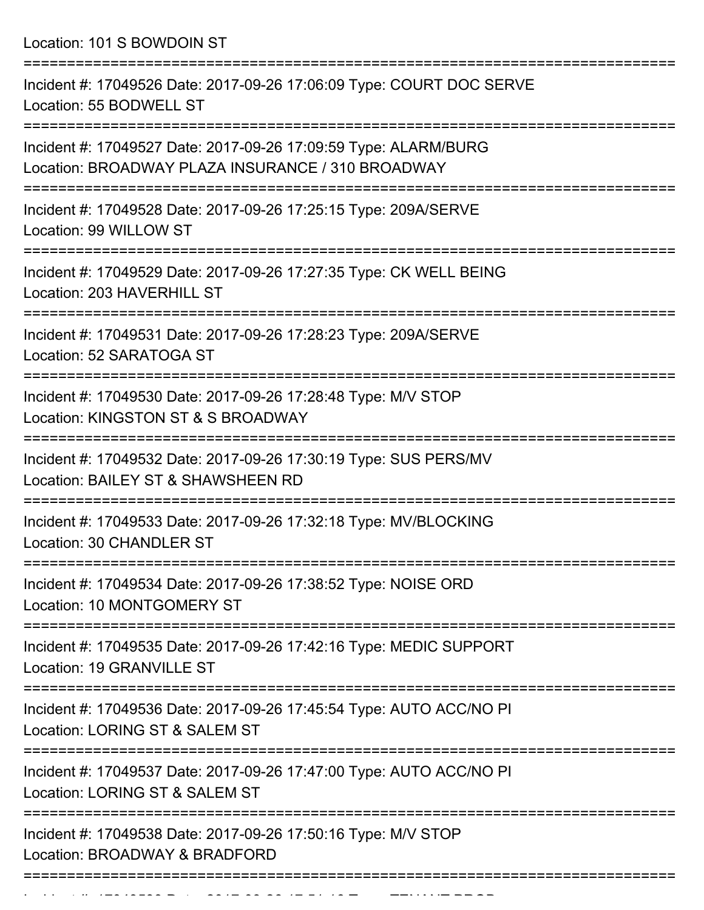Location: 101 S BOWDOIN ST

| Incident #: 17049526 Date: 2017-09-26 17:06:09 Type: COURT DOC SERVE<br>Location: 55 BODWELL ST                      |
|----------------------------------------------------------------------------------------------------------------------|
| Incident #: 17049527 Date: 2017-09-26 17:09:59 Type: ALARM/BURG<br>Location: BROADWAY PLAZA INSURANCE / 310 BROADWAY |
| Incident #: 17049528 Date: 2017-09-26 17:25:15 Type: 209A/SERVE<br>Location: 99 WILLOW ST                            |
| Incident #: 17049529 Date: 2017-09-26 17:27:35 Type: CK WELL BEING<br>Location: 203 HAVERHILL ST                     |
| Incident #: 17049531 Date: 2017-09-26 17:28:23 Type: 209A/SERVE<br>Location: 52 SARATOGA ST                          |
| Incident #: 17049530 Date: 2017-09-26 17:28:48 Type: M/V STOP<br>Location: KINGSTON ST & S BROADWAY                  |
| Incident #: 17049532 Date: 2017-09-26 17:30:19 Type: SUS PERS/MV<br>Location: BAILEY ST & SHAWSHEEN RD               |
| Incident #: 17049533 Date: 2017-09-26 17:32:18 Type: MV/BLOCKING<br>Location: 30 CHANDLER ST                         |
| Incident #: 17049534 Date: 2017-09-26 17:38:52 Type: NOISE ORD<br>Location: 10 MONTGOMERY ST                         |
| Incident #: 17049535 Date: 2017-09-26 17:42:16 Type: MEDIC SUPPORT<br>Location: 19 GRANVILLE ST                      |
| Incident #: 17049536 Date: 2017-09-26 17:45:54 Type: AUTO ACC/NO PI<br>Location: LORING ST & SALEM ST                |
| Incident #: 17049537 Date: 2017-09-26 17:47:00 Type: AUTO ACC/NO PI<br>Location: LORING ST & SALEM ST                |
| Incident #: 17049538 Date: 2017-09-26 17:50:16 Type: M/V STOP<br>Location: BROADWAY & BRADFORD                       |
|                                                                                                                      |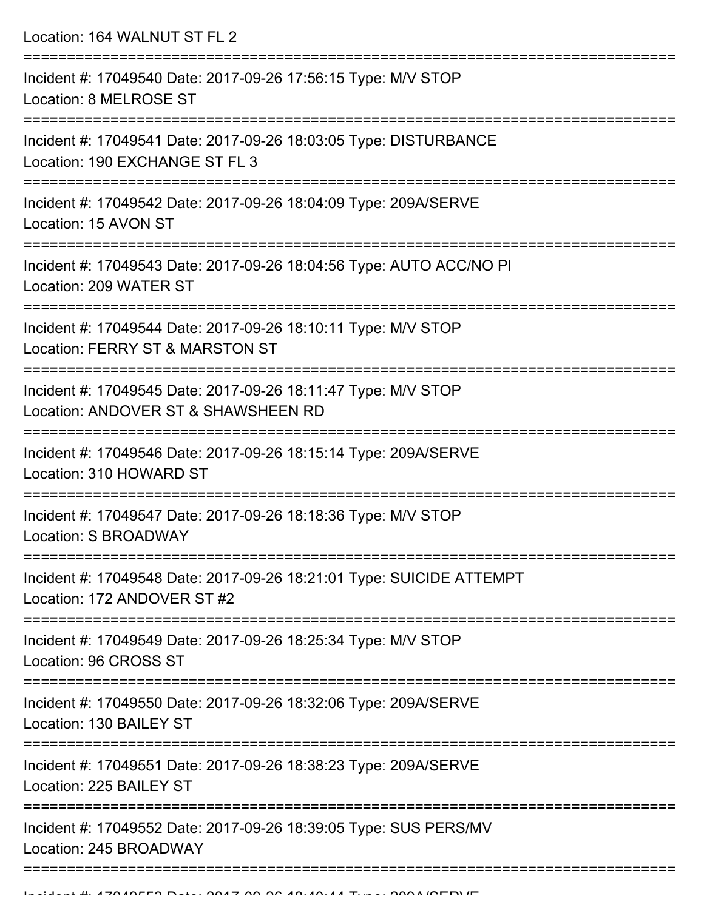Location: 164 WALNUT ST FL 2

| Incident #: 17049540 Date: 2017-09-26 17:56:15 Type: M/V STOP<br>Location: 8 MELROSE ST                              |
|----------------------------------------------------------------------------------------------------------------------|
| Incident #: 17049541 Date: 2017-09-26 18:03:05 Type: DISTURBANCE<br>Location: 190 EXCHANGE ST FL 3<br>-----------    |
| Incident #: 17049542 Date: 2017-09-26 18:04:09 Type: 209A/SERVE<br>Location: 15 AVON ST                              |
| Incident #: 17049543 Date: 2017-09-26 18:04:56 Type: AUTO ACC/NO PI<br>Location: 209 WATER ST<br>=================== |
| Incident #: 17049544 Date: 2017-09-26 18:10:11 Type: M/V STOP<br>Location: FERRY ST & MARSTON ST                     |
| Incident #: 17049545 Date: 2017-09-26 18:11:47 Type: M/V STOP<br>Location: ANDOVER ST & SHAWSHEEN RD                 |
| Incident #: 17049546 Date: 2017-09-26 18:15:14 Type: 209A/SERVE<br>Location: 310 HOWARD ST                           |
| Incident #: 17049547 Date: 2017-09-26 18:18:36 Type: M/V STOP<br>Location: S BROADWAY                                |
| Incident #: 17049548 Date: 2017-09-26 18:21:01 Type: SUICIDE ATTEMPT<br>Location: 172 ANDOVER ST #2                  |
| Incident #: 17049549 Date: 2017-09-26 18:25:34 Type: M/V STOP<br>Location: 96 CROSS ST                               |
| Incident #: 17049550 Date: 2017-09-26 18:32:06 Type: 209A/SERVE<br>Location: 130 BAILEY ST                           |
| Incident #: 17049551 Date: 2017-09-26 18:38:23 Type: 209A/SERVE<br>Location: 225 BAILEY ST                           |
| Incident #: 17049552 Date: 2017-09-26 18:39:05 Type: SUS PERS/MV<br>Location: 245 BROADWAY                           |
|                                                                                                                      |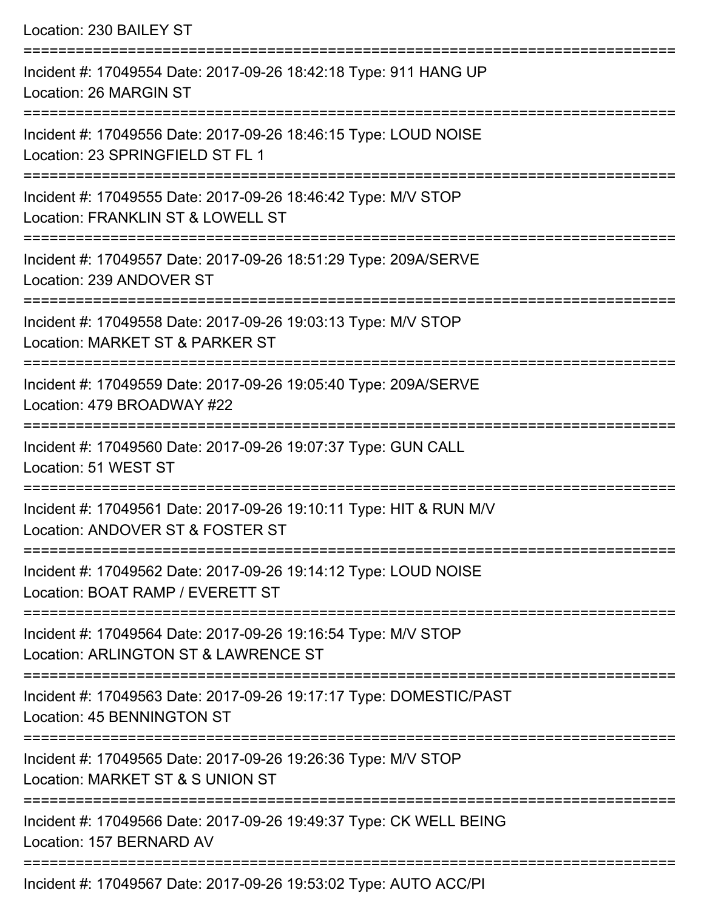Location: 230 BAILEY ST =========================================================================== Incident #: 17049554 Date: 2017-09-26 18:42:18 Type: 911 HANG UP Location: 26 MARGIN ST =========================================================================== Incident #: 17049556 Date: 2017-09-26 18:46:15 Type: LOUD NOISE Location: 23 SPRINGFIELD ST FL 1 =========================================================================== Incident #: 17049555 Date: 2017-09-26 18:46:42 Type: M/V STOP Location: FRANKLIN ST & LOWELL ST =========================================================================== Incident #: 17049557 Date: 2017-09-26 18:51:29 Type: 209A/SERVE Location: 239 ANDOVER ST =========================================================================== Incident #: 17049558 Date: 2017-09-26 19:03:13 Type: M/V STOP Location: MARKET ST & PARKER ST =========================================================================== Incident #: 17049559 Date: 2017-09-26 19:05:40 Type: 209A/SERVE Location: 479 BROADWAY #22 =========================================================================== Incident #: 17049560 Date: 2017-09-26 19:07:37 Type: GUN CALL Location: 51 WEST ST =========================================================================== Incident #: 17049561 Date: 2017-09-26 19:10:11 Type: HIT & RUN M/V Location: ANDOVER ST & FOSTER ST =========================================================================== Incident #: 17049562 Date: 2017-09-26 19:14:12 Type: LOUD NOISE Location: BOAT RAMP / EVERETT ST =========================================================================== Incident #: 17049564 Date: 2017-09-26 19:16:54 Type: M/V STOP Location: ARLINGTON ST & LAWRENCE ST =========================================================================== Incident #: 17049563 Date: 2017-09-26 19:17:17 Type: DOMESTIC/PAST Location: 45 BENNINGTON ST =========================================================================== Incident #: 17049565 Date: 2017-09-26 19:26:36 Type: M/V STOP Location: MARKET ST & S UNION ST =========================================================================== Incident #: 17049566 Date: 2017-09-26 19:49:37 Type: CK WELL BEING Location: 157 BERNARD AV ===========================================================================

Incident #: 17049567 Date: 2017-09-26 19:53:02 Type: AUTO ACC/PI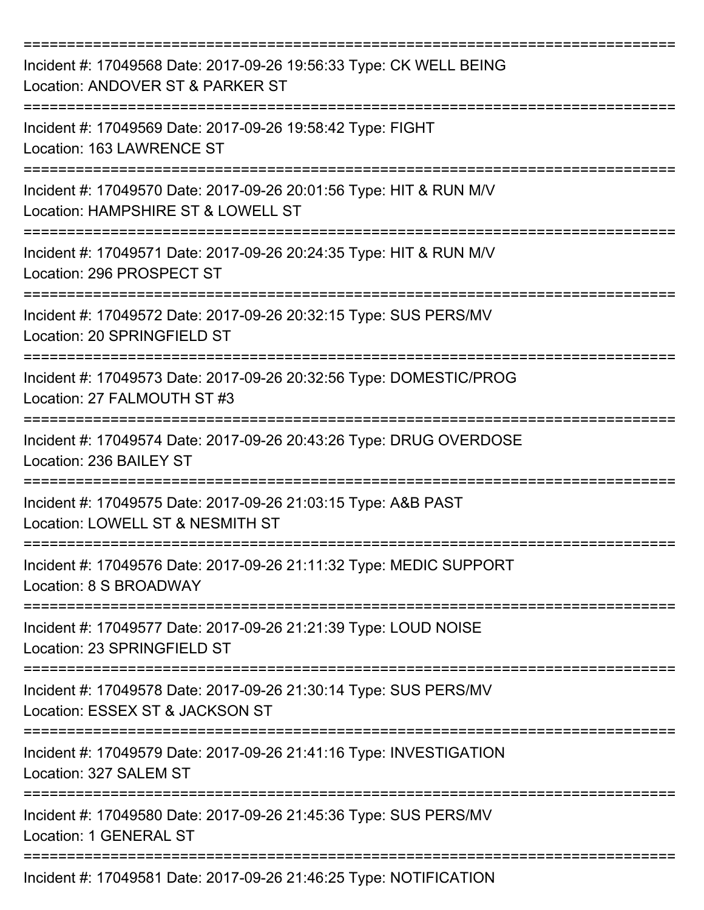| Incident #: 17049568 Date: 2017-09-26 19:56:33 Type: CK WELL BEING<br>Location: ANDOVER ST & PARKER ST   |
|----------------------------------------------------------------------------------------------------------|
| Incident #: 17049569 Date: 2017-09-26 19:58:42 Type: FIGHT<br>Location: 163 LAWRENCE ST                  |
| Incident #: 17049570 Date: 2017-09-26 20:01:56 Type: HIT & RUN M/V<br>Location: HAMPSHIRE ST & LOWELL ST |
| Incident #: 17049571 Date: 2017-09-26 20:24:35 Type: HIT & RUN M/V<br>Location: 296 PROSPECT ST          |
| Incident #: 17049572 Date: 2017-09-26 20:32:15 Type: SUS PERS/MV<br>Location: 20 SPRINGFIELD ST          |
| Incident #: 17049573 Date: 2017-09-26 20:32:56 Type: DOMESTIC/PROG<br>Location: 27 FALMOUTH ST #3        |
| Incident #: 17049574 Date: 2017-09-26 20:43:26 Type: DRUG OVERDOSE<br>Location: 236 BAILEY ST            |
| Incident #: 17049575 Date: 2017-09-26 21:03:15 Type: A&B PAST<br>Location: LOWELL ST & NESMITH ST        |
| Incident #: 17049576 Date: 2017-09-26 21:11:32 Type: MEDIC SUPPORT<br>Location: 8 S BROADWAY             |
| Incident #: 17049577 Date: 2017-09-26 21:21:39 Type: LOUD NOISE<br>Location: 23 SPRINGFIELD ST           |
| Incident #: 17049578 Date: 2017-09-26 21:30:14 Type: SUS PERS/MV<br>Location: ESSEX ST & JACKSON ST      |
| Incident #: 17049579 Date: 2017-09-26 21:41:16 Type: INVESTIGATION<br>Location: 327 SALEM ST             |
| Incident #: 17049580 Date: 2017-09-26 21:45:36 Type: SUS PERS/MV<br>Location: 1 GENERAL ST               |
| Incident #: 17049581 Date: 2017-09-26 21:46:25 Type: NOTIFICATION                                        |